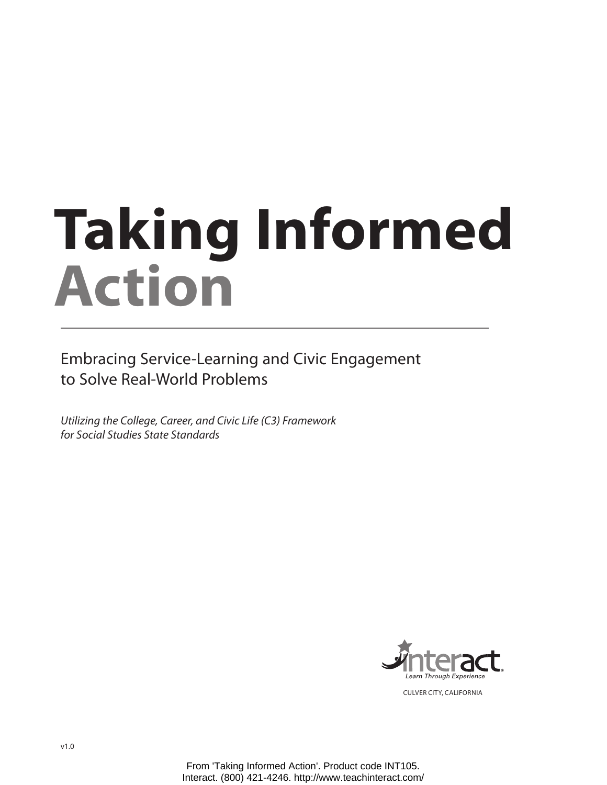# **Taking Informed Action**

Embracing Service-Learning and Civic Engagement to Solve Real-World Problems

*Utilizing the College, Career, and Civic Life (C3) Framework for Social Studies State Standards*



Culver City, California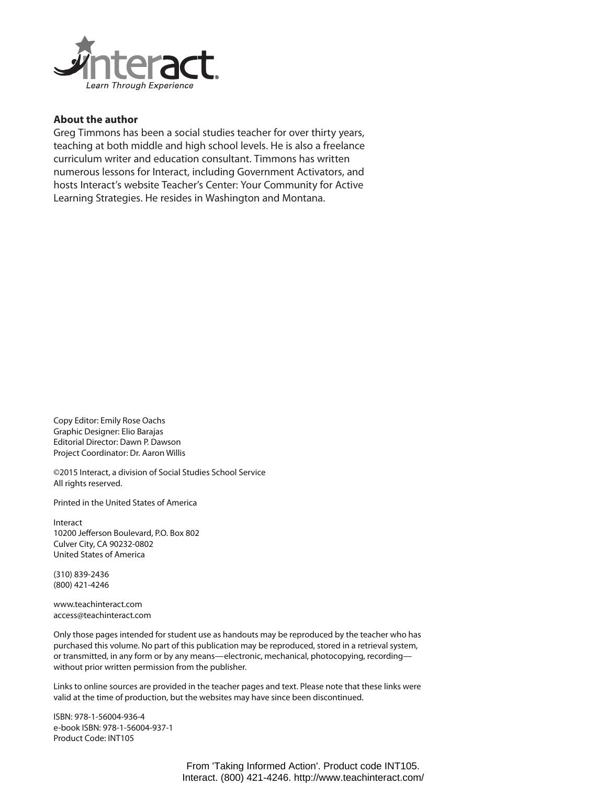

#### **About the author**

Greg Timmons has been a social studies teacher for over thirty years, teaching at both middle and high school levels. He is also a freelance curriculum writer and education consultant. Timmons has written numerous lessons for Interact, including Government Activators, and hosts Interact's website Teacher's Center: Your Community for Active Learning Strategies. He resides in Washington and Montana.

Copy Editor: Emily Rose Oachs Graphic Designer: Elio Barajas Editorial Director: Dawn P. Dawson Project Coordinator: Dr. Aaron Willis

©2015 Interact, a division of Social Studies School Service All rights reserved.

Printed in the United States of America

Interact 10200 Jefferson Boulevard, P.O. Box 802 Culver City, CA 90232-0802 United States of America

(310) 839-2436 (800) 421-4246

www.teachinteract.com access@teachinteract.com

Only those pages intended for student use as handouts may be reproduced by the teacher who has purchased this volume. No part of this publication may be reproduced, stored in a retrieval system, or transmitted, in any form or by any means—electronic, mechanical, photocopying, recording without prior written permission from the publisher.

Links to online sources are provided in the teacher pages and text. Please note that these links were valid at the time of production, but the websites may have since been discontinued.

ISBN: 978-1-56004-936-4 e-book ISBN: 978-1-56004-937-1 Product Code: INT105

> From 'Taking Informed Action'. Product code INT105. Interact. (800) 421-4246. http://www.teachinteract.com/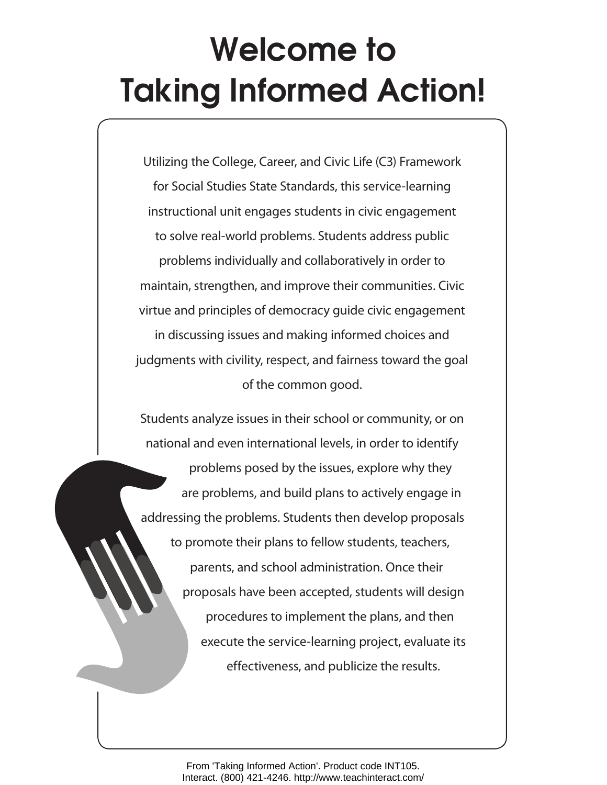# **Welcome to Taking Informed Action!**

Utilizing the College, Career, and Civic Life (C3) Framework for Social Studies State Standards, this service-learning instructional unit engages students in civic engagement to solve real-world problems. Students address public problems individually and collaboratively in order to maintain, strengthen, and improve their communities. Civic virtue and principles of democracy guide civic engagement in discussing issues and making informed choices and judgments with civility, respect, and fairness toward the goal of the common good.

Students analyze issues in their school or community, or on national and even international levels, in order to identify

problems posed by the issues, explore why they are problems, and build plans to actively engage in addressing the problems. Students then develop proposals to promote their plans to fellow students, teachers, parents, and school administration. Once their proposals have been accepted, students will design procedures to implement the plans, and then execute the service-learning project, evaluate its effectiveness, and publicize the results.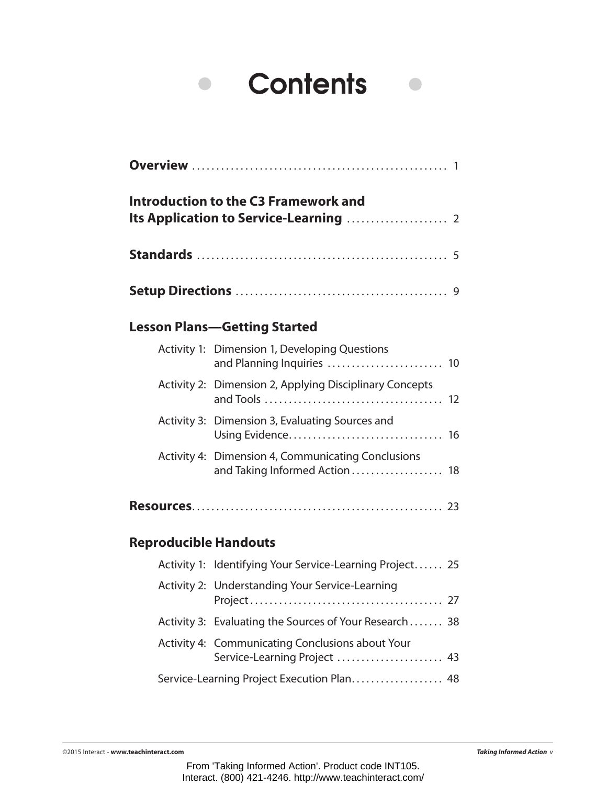## **Contents**  $\bullet$

 $\bullet$ 

|                              | <b>Introduction to the C3 Framework and</b><br>Its Application to Service-Learning  2 |
|------------------------------|---------------------------------------------------------------------------------------|
|                              |                                                                                       |
|                              |                                                                                       |
|                              | <b>Lesson Plans-Getting Started</b>                                                   |
|                              | Activity 1: Dimension 1, Developing Questions<br>and Planning Inquiries  10           |
|                              | Activity 2: Dimension 2, Applying Disciplinary Concepts                               |
|                              | Activity 3: Dimension 3, Evaluating Sources and                                       |
|                              | Activity 4: Dimension 4, Communicating Conclusions<br>and Taking Informed Action  18  |
|                              |                                                                                       |
| <b>Reproducible Handouts</b> |                                                                                       |
|                              | Activity 1: Identifying Your Service-Learning Project 25                              |
|                              | Activity 2: Understanding Your Service-Learning                                       |
|                              | Activity 3: Evaluating the Sources of Your Research 38                                |
|                              | Activity 4: Communicating Conclusions about Your                                      |

Service-Learning Project Execution Plan..................... 48

Service-Learning Project ........................ 43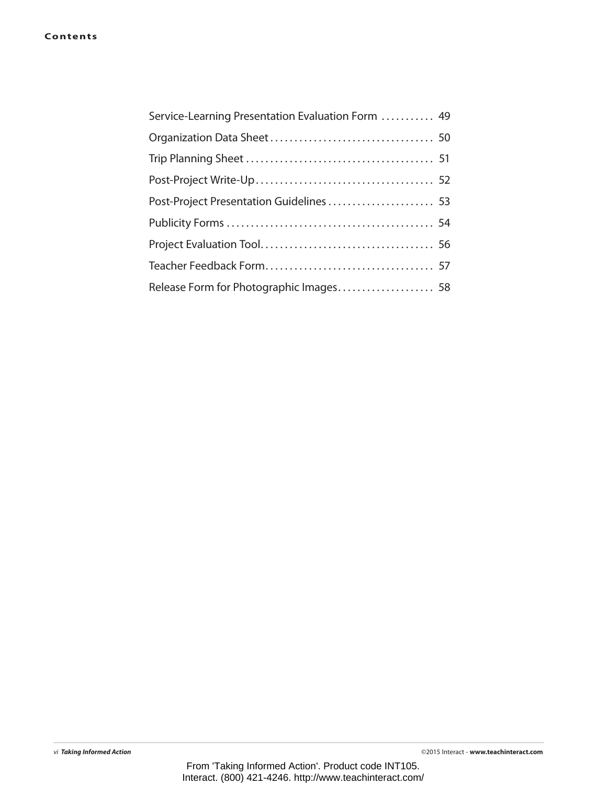| Service-Learning Presentation Evaluation Form  49 |
|---------------------------------------------------|
|                                                   |
|                                                   |
|                                                   |
|                                                   |
|                                                   |
|                                                   |
|                                                   |
| Release Form for Photographic Images 58           |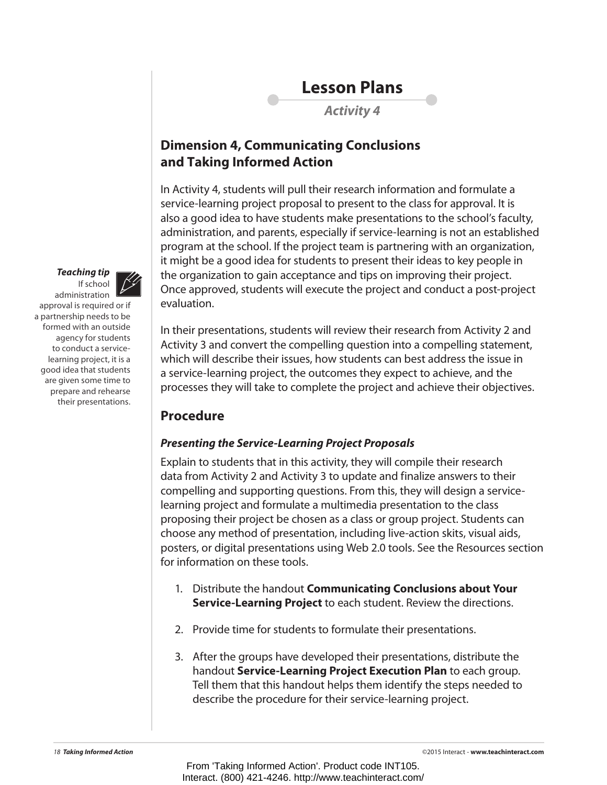

*Activity 4*

#### **Dimension 4, Communicating Conclusions and Taking Informed Action**

In Activity 4, students will pull their research information and formulate a service-learning project proposal to present to the class for approval. It is also a good idea to have students make presentations to the school's faculty, administration, and parents, especially if service-learning is not an established program at the school. If the project team is partnering with an organization, it might be a good idea for students to present their ideas to key people in the organization to gain acceptance and tips on improving their project. Once approved, students will execute the project and conduct a post-project evaluation.

In their presentations, students will review their research from Activity 2 and Activity 3 and convert the compelling question into a compelling statement, which will describe their issues, how students can best address the issue in a service-learning project, the outcomes they expect to achieve, and the processes they will take to complete the project and achieve their objectives.

### **Procedure**

#### *Presenting the Service-Learning Project Proposals*

Explain to students that in this activity, they will compile their research data from Activity 2 and Activity 3 to update and finalize answers to their compelling and supporting questions. From this, they will design a servicelearning project and formulate a multimedia presentation to the class proposing their project be chosen as a class or group project. Students can choose any method of presentation, including live-action skits, visual aids, posters, or digital presentations using Web 2.0 tools. See the Resources section for information on these tools.

- 1. Distribute the handout **Communicating Conclusions about Your Service-Learning Project** to each student. Review the directions.
- 2. Provide time for students to formulate their presentations.
- 3. After the groups have developed their presentations, distribute the handout **Service-Learning Project Execution Plan** to each group. Tell them that this handout helps them identify the steps needed to describe the procedure for their service-learning project.



administration approval is required or if a partnership needs to be formed with an outside agency for students to conduct a servicelearning project, it is a good idea that students are given some time to prepare and rehearse their presentations.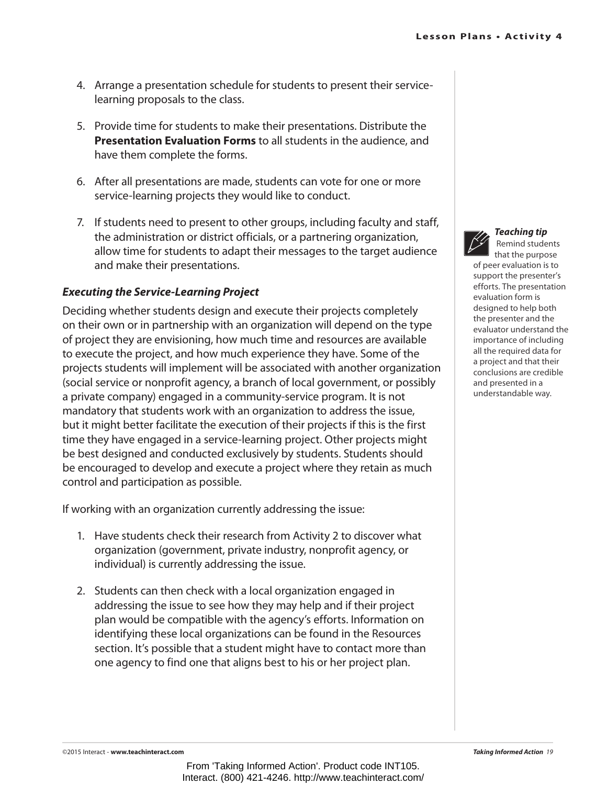- 4. Arrange a presentation schedule for students to present their servicelearning proposals to the class.
- 5. Provide time for students to make their presentations. Distribute the **Presentation Evaluation Forms** to all students in the audience, and have them complete the forms.
- 6. After all presentations are made, students can vote for one or more service-learning projects they would like to conduct.
- 7. If students need to present to other groups, including faculty and staff, the administration or district officials, or a partnering organization, allow time for students to adapt their messages to the target audience and make their presentations.

#### *Executing the Service-Learning Project*

Deciding whether students design and execute their projects completely on their own or in partnership with an organization will depend on the type of project they are envisioning, how much time and resources are available to execute the project, and how much experience they have. Some of the projects students will implement will be associated with another organization (social service or nonprofit agency, a branch of local government, or possibly a private company) engaged in a community-service program. It is not mandatory that students work with an organization to address the issue, but it might better facilitate the execution of their projects if this is the first time they have engaged in a service-learning project. Other projects might be best designed and conducted exclusively by students. Students should be encouraged to develop and execute a project where they retain as much control and participation as possible.

If working with an organization currently addressing the issue:

- 1. Have students check their research from Activity 2 to discover what organization (government, private industry, nonprofit agency, or individual) is currently addressing the issue.
- 2. Students can then check with a local organization engaged in addressing the issue to see how they may help and if their project plan would be compatible with the agency's efforts. Information on identifying these local organizations can be found in the Resources section. It's possible that a student might have to contact more than one agency to find one that aligns best to his or her project plan.



#### *Teaching tip* Remind students

that the purpose

of peer evaluation is to support the presenter's efforts. The presentation evaluation form is designed to help both the presenter and the evaluator understand the importance of including all the required data for a project and that their conclusions are credible and presented in a understandable way.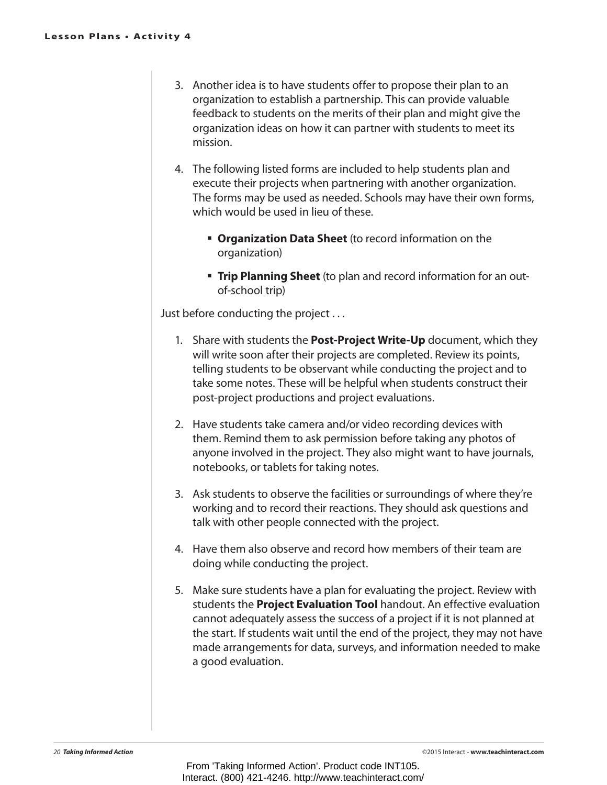- 3. Another idea is to have students offer to propose their plan to an organization to establish a partnership. This can provide valuable feedback to students on the merits of their plan and might give the organization ideas on how it can partner with students to meet its mission.
- 4. The following listed forms are included to help students plan and execute their projects when partnering with another organization. The forms may be used as needed. Schools may have their own forms, which would be used in lieu of these.
	- **Organization Data Sheet** (to record information on the organization)
	- **Trip Planning Sheet** (to plan and record information for an outof-school trip)

Just before conducting the project . . .

- 1. Share with students the **Post-Project Write-Up** document, which they will write soon after their projects are completed. Review its points, telling students to be observant while conducting the project and to take some notes. These will be helpful when students construct their post-project productions and project evaluations.
- 2. Have students take camera and/or video recording devices with them. Remind them to ask permission before taking any photos of anyone involved in the project. They also might want to have journals, notebooks, or tablets for taking notes.
- 3. Ask students to observe the facilities or surroundings of where they're working and to record their reactions. They should ask questions and talk with other people connected with the project.
- 4. Have them also observe and record how members of their team are doing while conducting the project.
- 5. Make sure students have a plan for evaluating the project. Review with students the **Project Evaluation Tool** handout. An effective evaluation cannot adequately assess the success of a project if it is not planned at the start. If students wait until the end of the project, they may not have made arrangements for data, surveys, and information needed to make a good evaluation.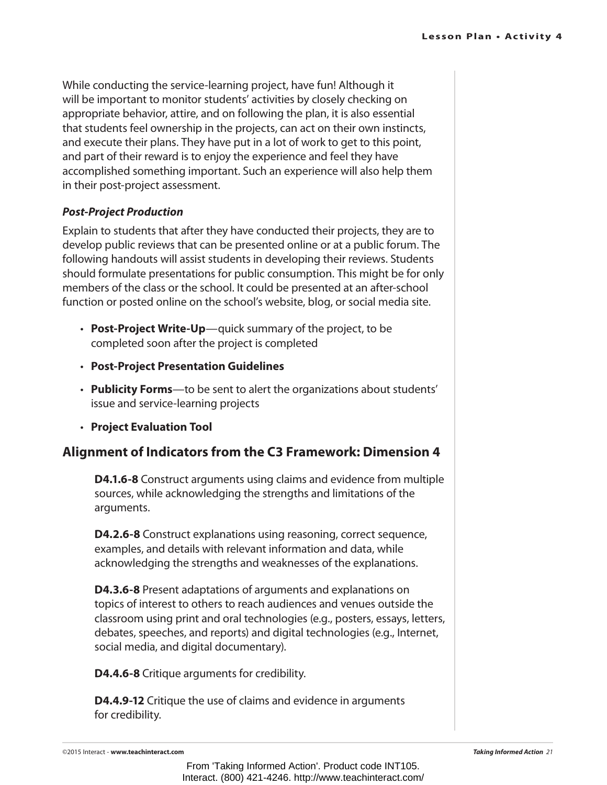While conducting the service-learning project, have fun! Although it will be important to monitor students' activities by closely checking on appropriate behavior, attire, and on following the plan, it is also essential that students feel ownership in the projects, can act on their own instincts, and execute their plans. They have put in a lot of work to get to this point, and part of their reward is to enjoy the experience and feel they have accomplished something important. Such an experience will also help them in their post-project assessment.

#### *Post-Project Production*

Explain to students that after they have conducted their projects, they are to develop public reviews that can be presented online or at a public forum. The following handouts will assist students in developing their reviews. Students should formulate presentations for public consumption. This might be for only members of the class or the school. It could be presented at an after-school function or posted online on the school's website, blog, or social media site.

- **Post-Project Write-Up**—quick summary of the project, to be completed soon after the project is completed
- • **Post-Project Presentation Guidelines**
- **Publicity Forms**—to be sent to alert the organizations about students' issue and service-learning projects
- • **Project Evaluation Tool**

#### **Alignment of Indicators from the C3 Framework: Dimension 4**

**D4.1.6-8** Construct arguments using claims and evidence from multiple sources, while acknowledging the strengths and limitations of the arguments.

**D4.2.6-8** Construct explanations using reasoning, correct sequence, examples, and details with relevant information and data, while acknowledging the strengths and weaknesses of the explanations.

**D4.3.6-8** Present adaptations of arguments and explanations on topics of interest to others to reach audiences and venues outside the classroom using print and oral technologies (e.g., posters, essays, letters, debates, speeches, and reports) and digital technologies (e.g., Internet, social media, and digital documentary).

**D4.4.6-8** Critique arguments for credibility.

**D4.4.9-12** Critique the use of claims and evidence in arguments for credibility.